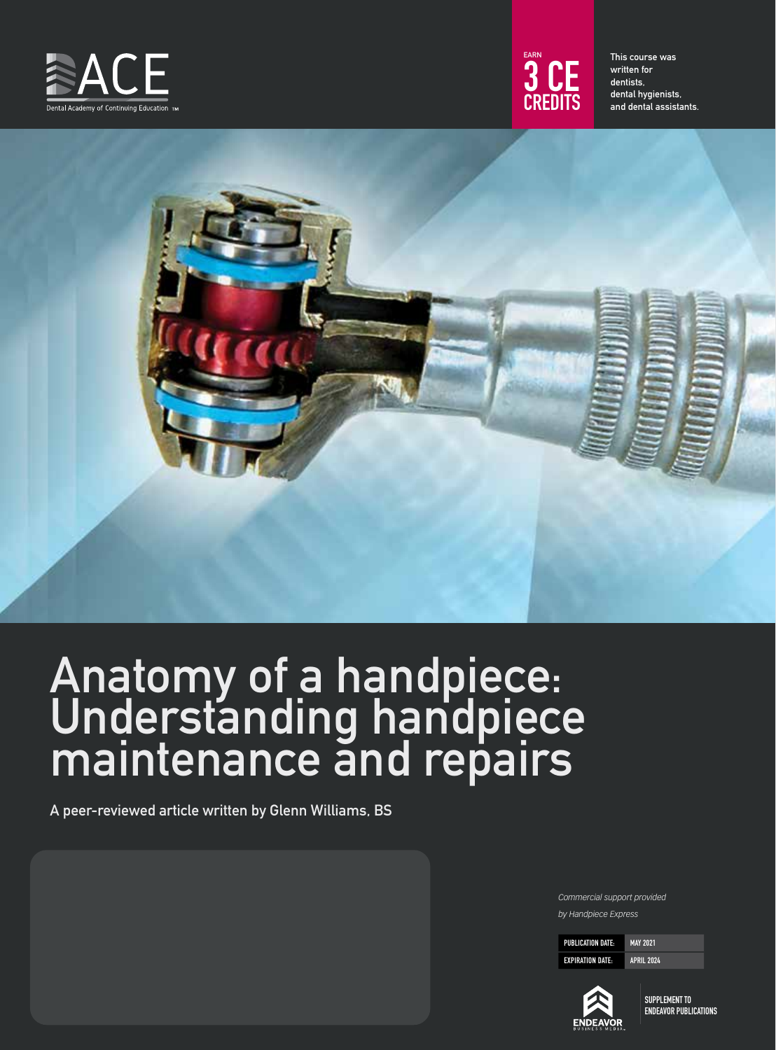



This course was written for dentists, dental hygienists, and dental assistants.



# Anatomy of a handpiece: Understanding handpiece maintenance and repairs

A peer-reviewed article written by Glenn Williams, BS

*Commercial support provided by Handpiece Express*

PUBLICATION DATE: MAY 2021 EXPIRATION DATE: APRIL 2024

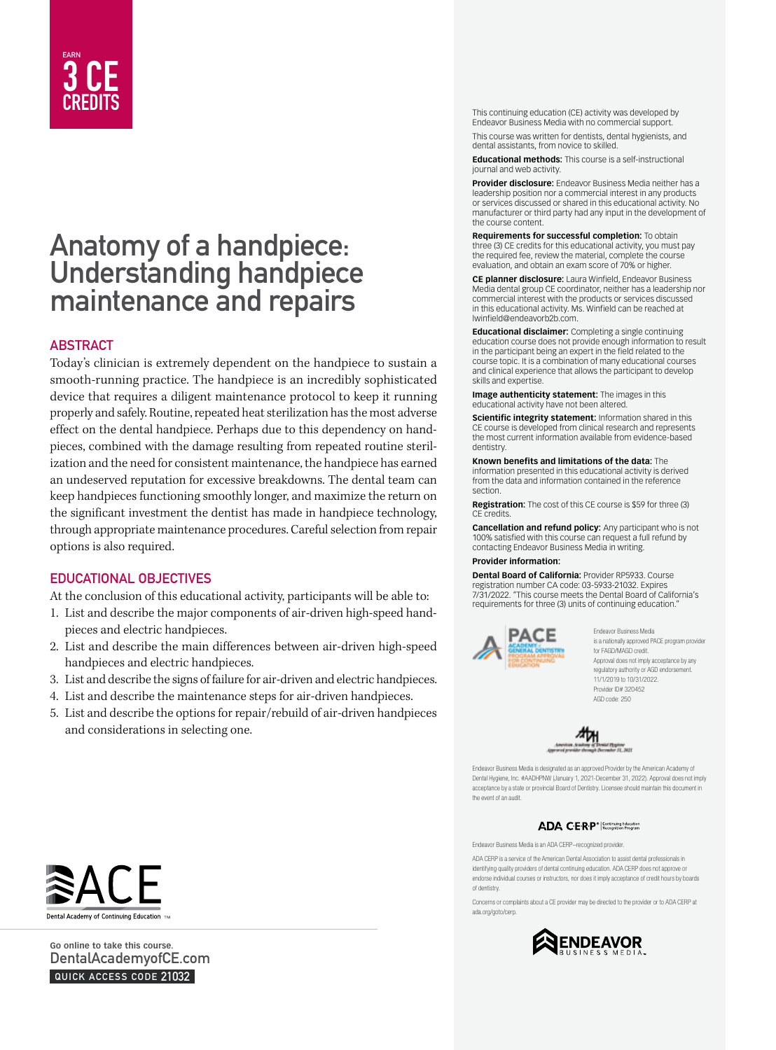

# Anatomy of a handpiece: Understanding handpiece maintenance and repairs

# **ABSTRACT**

Today's clinician is extremely dependent on the handpiece to sustain a smooth-running practice. The handpiece is an incredibly sophisticated device that requires a diligent maintenance protocol to keep it running properly and safely. Routine, repeated heat sterilization has the most adverse effect on the dental handpiece. Perhaps due to this dependency on handpieces, combined with the damage resulting from repeated routine sterilization and the need for consistent maintenance, the handpiece has earned an undeserved reputation for excessive breakdowns. The dental team can keep handpieces functioning smoothly longer, and maximize the return on the significant investment the dentist has made in handpiece technology, through appropriate maintenance procedures. Careful selection from repair options is also required.

# EDUCATIONAL OBJECTIVES

At the conclusion of this educational activity, participants will be able to:

- 1. List and describe the major components of air-driven high-speed handpieces and electric handpieces.
- 2. List and describe the main differences between air-driven high-speed handpieces and electric handpieces.
- 3. List and describe the signs of failure for air-driven and electric handpieces.
- 4. List and describe the maintenance steps for air-driven handpieces.
- 5. List and describe the options for repair/rebuild of air-driven handpieces and considerations in selecting one.

This continuing education (CE) activity was developed by Endeavor Business Media with no commercial support.

This course was written for dentists, dental hygienists, and dental assistants, from novice to skilled.

**Educational methods:** This course is a self-instructional journal and web activity.

**Provider disclosure:** Endeavor Business Media neither has a leadership position nor a commercial interest in any products or services discussed or shared in this educational activity. No manufacturer or third party had any input in the development of the course content.

**Requirements for successful completion:** To obtain three (3) CE credits for this educational activity, you must pay the required fee, review the material, complete the course evaluation, and obtain an exam score of 70% or higher.

**CE planner disclosure:** Laura Winfield, Endeavor Business Media dental group CE coordinator, neither has a leadership nor commercial interest with the products or services discussed in this educational activity. Ms. Winfield can be reached at lwinfield@endeavorb2b.com.

**Educational disclaimer:** Completing a single continuing education course does not provide enough information to result in the participant being an expert in the field related to the course topic. It is a combination of many educational courses and clinical experience that allows the participant to develop skills and expertise.

**Image authenticity statement:** The images in this educational activity have not been altered.

**Scientific integrity statement:** Information shared in this CE course is developed from clinical research and represents the most current information available from evidence-based dentistry.

**Known benefits and limitations of the data:** The information presented in this educational activity is derived from the data and information contained in the reference section.

**Registration:** The cost of this CE course is \$59 for three (3) CE credits.

**Cancellation and refund policy:** Any participant who is not 100% satisfied with this course can request a full refund by contacting Endeavor Business Media in writing.

#### **Provider information:**

**Dental Board of California:** Provider RP5933. Course registration number CA code: 03-5933-21032. Expires 7/31/2022. "This course meets the Dental Board of California's requirements for three (3) units of continuing education."



Endeavor Business Media is a nationally approved PACE program provider for FAGD/MAGD credit. Approval does not imply acceptance by any regulatory authority or AGD endorsement. 11/1/2019 to 10/31/2022. Provider ID# 320452 AGD code: 250



Endeavor Business Media is designated as an approved Provider by the American Academy of Dental Hygiene, Inc. #AADHPNW (January 1, 2021-December 31, 2022). Approval does not imply acceptance by a state or provincial Board of Dentistry. Licensee should maintain this document in the event of an audit.

### ADA CERP<sup>®</sup> | Continuing Education

Endeavor Business Media is an ADA CERP–recognized provider.

ADA CERP is a service of the American Dental Association to assist dental professionals in identifying quality providers of dental continuing education. ADA CERP does not approve or endorse individual courses or instructors, nor does it imply acceptance of credit hours by boards of dentistry.

Concerns or complaints about a CE provider may be directed to the provider or to ADA CERP at ada.org/goto/cerp.





**Go online to take this course.**  DentalAcademyofCE.com QUICK ACCESS CODE 21032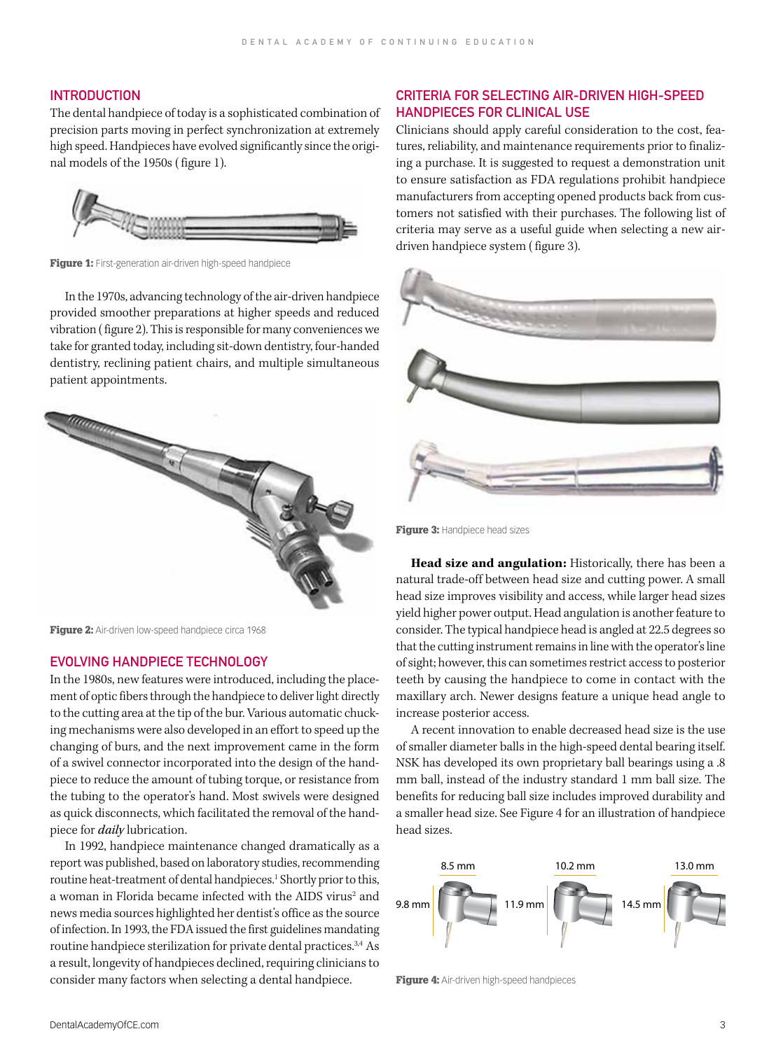# **INTRODUCTION**

The dental handpiece of today is a sophisticated combination of precision parts moving in perfect synchronization at extremely high speed. Handpieces have evolved significantly since the original models of the 1950s ( figure 1).



Figure 1: First-generation air-driven high-speed handpiece

In the 1970s, advancing technology of the air-driven handpiece provided smoother preparations at higher speeds and reduced vibration ( figure 2). This is responsible for many conveniences we take for granted today, including sit-down dentistry, four-handed dentistry, reclining patient chairs, and multiple simultaneous patient appointments.



Figure 2: Air-driven low-speed handpiece circa 1968

### EVOLVING HANDPIECE TECHNOLOGY

In the 1980s, new features were introduced, including the placement of optic fibers through the handpiece to deliver light directly to the cutting area at the tip of the bur. Various automatic chucking mechanisms were also developed in an effort to speed up the changing of burs, and the next improvement came in the form of a swivel connector incorporated into the design of the handpiece to reduce the amount of tubing torque, or resistance from the tubing to the operator's hand. Most swivels were designed as quick disconnects, which facilitated the removal of the handpiece for *daily* lubrication.

In 1992, handpiece maintenance changed dramatically as a report was published, based on laboratory studies, recommending routine heat-treatment of dental handpieces.<sup>1</sup> Shortly prior to this, a woman in Florida became infected with the AIDS virus<sup>2</sup> and news media sources highlighted her dentist's office as the source of infection. In 1993, the FDA issued the first guidelines mandating routine handpiece sterilization for private dental practices.<sup>3,4</sup> As a result, longevity of handpieces declined, requiring clinicians to consider many factors when selecting a dental handpiece.

# CRITERIA FOR SELECTING AIR-DRIVEN HIGH-SPEED HANDPIECES FOR CLINICAL USE

Clinicians should apply careful consideration to the cost, features, reliability, and maintenance requirements prior to finalizing a purchase. It is suggested to request a demonstration unit to ensure satisfaction as FDA regulations prohibit handpiece manufacturers from accepting opened products back from customers not satisfied with their purchases. The following list of criteria may serve as a useful guide when selecting a new airdriven handpiece system ( figure 3).



Figure 3: Handpiece head sizes

**Head size and angulation:** Historically, there has been a natural trade-off between head size and cutting power. A small head size improves visibility and access, while larger head sizes yield higher power output. Head angulation is another feature to consider. The typical handpiece head is angled at 22.5 degrees so that the cutting instrument remains in line with the operator's line of sight; however, this can sometimes restrict access to posterior teeth by causing the handpiece to come in contact with the maxillary arch. Newer designs feature a unique head angle to increase posterior access.

A recent innovation to enable decreased head size is the use of smaller diameter balls in the high-speed dental bearing itself. NSK has developed its own proprietary ball bearings using a .8 mm ball, instead of the industry standard 1 mm ball size. The benefits for reducing ball size includes improved durability and a smaller head size. See Figure 4 for an illustration of handpiece head sizes.



Figure 4: Air-driven high-speed handpieces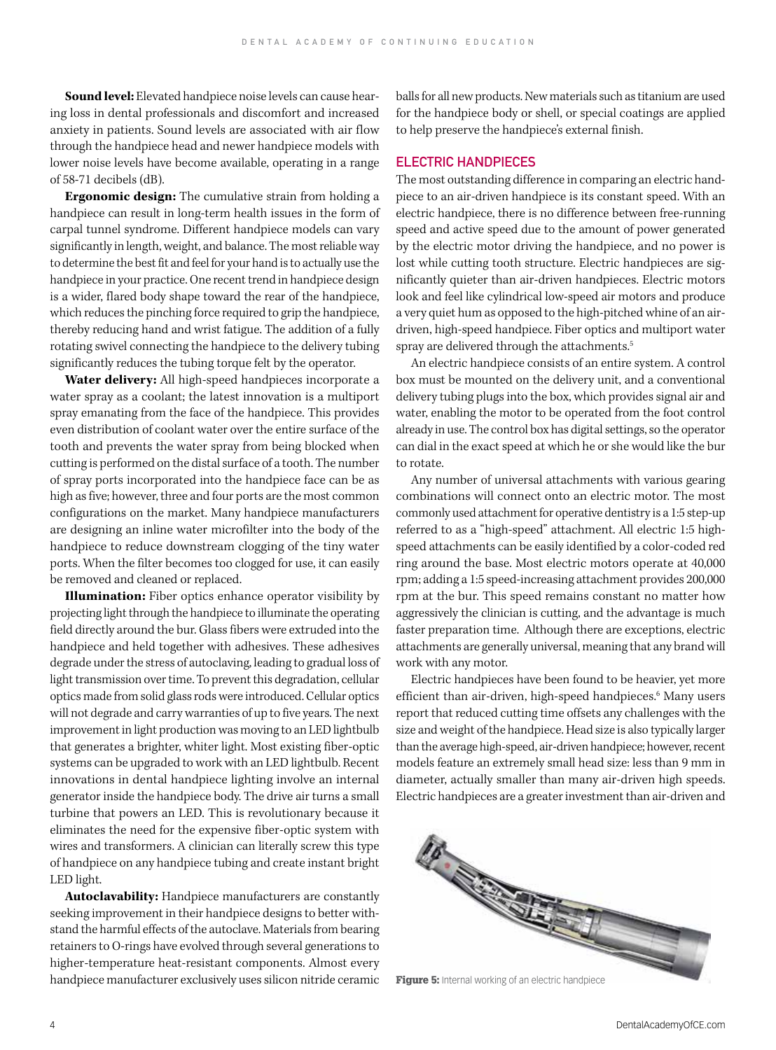**Sound level:** Elevated handpiece noise levels can cause hearing loss in dental professionals and discomfort and increased anxiety in patients. Sound levels are associated with air flow through the handpiece head and newer handpiece models with lower noise levels have become available, operating in a range of 58-71 decibels (dB).

**Ergonomic design:** The cumulative strain from holding a handpiece can result in long-term health issues in the form of carpal tunnel syndrome. Different handpiece models can vary significantly in length, weight, and balance. The most reliable way to determine the best fit and feel for your hand is to actually use the handpiece in your practice. One recent trend in handpiece design is a wider, flared body shape toward the rear of the handpiece, which reduces the pinching force required to grip the handpiece, thereby reducing hand and wrist fatigue. The addition of a fully rotating swivel connecting the handpiece to the delivery tubing significantly reduces the tubing torque felt by the operator.

**Water delivery:** All high-speed handpieces incorporate a water spray as a coolant; the latest innovation is a multiport spray emanating from the face of the handpiece. This provides even distribution of coolant water over the entire surface of the tooth and prevents the water spray from being blocked when cutting is performed on the distal surface of a tooth. The number of spray ports incorporated into the handpiece face can be as high as five; however, three and four ports are the most common configurations on the market. Many handpiece manufacturers are designing an inline water microfilter into the body of the handpiece to reduce downstream clogging of the tiny water ports. When the filter becomes too clogged for use, it can easily be removed and cleaned or replaced.

**Illumination:** Fiber optics enhance operator visibility by projecting light through the handpiece to illuminate the operating field directly around the bur. Glass fibers were extruded into the handpiece and held together with adhesives. These adhesives degrade under the stress of autoclaving, leading to gradual loss of light transmission over time. To prevent this degradation, cellular optics made from solid glass rods were introduced. Cellular optics will not degrade and carry warranties of up to five years. The next improvement in light production was moving to an LED lightbulb that generates a brighter, whiter light. Most existing fiber-optic systems can be upgraded to work with an LED lightbulb. Recent innovations in dental handpiece lighting involve an internal generator inside the handpiece body. The drive air turns a small turbine that powers an LED. This is revolutionary because it eliminates the need for the expensive fiber-optic system with wires and transformers. A clinician can literally screw this type of handpiece on any handpiece tubing and create instant bright LED light.

**Autoclavability:** Handpiece manufacturers are constantly seeking improvement in their handpiece designs to better withstand the harmful effects of the autoclave. Materials from bearing retainers to O-rings have evolved through several generations to higher-temperature heat-resistant components. Almost every handpiece manufacturer exclusively uses silicon nitride ceramic balls for all new products. New materials such as titanium are used for the handpiece body or shell, or special coatings are applied to help preserve the handpiece's external finish.

# ELECTRIC HANDPIECES

The most outstanding difference in comparing an electric handpiece to an air-driven handpiece is its constant speed. With an electric handpiece, there is no difference between free-running speed and active speed due to the amount of power generated by the electric motor driving the handpiece, and no power is lost while cutting tooth structure. Electric handpieces are significantly quieter than air-driven handpieces. Electric motors look and feel like cylindrical low-speed air motors and produce a very quiet hum as opposed to the high-pitched whine of an airdriven, high-speed handpiece. Fiber optics and multiport water spray are delivered through the attachments.<sup>5</sup>

An electric handpiece consists of an entire system. A control box must be mounted on the delivery unit, and a conventional delivery tubing plugs into the box, which provides signal air and water, enabling the motor to be operated from the foot control already in use. The control box has digital settings, so the operator can dial in the exact speed at which he or she would like the bur to rotate.

Any number of universal attachments with various gearing combinations will connect onto an electric motor. The most commonly used attachment for operative dentistry is a 1:5 step-up referred to as a "high-speed" attachment. All electric 1:5 highspeed attachments can be easily identified by a color-coded red ring around the base. Most electric motors operate at 40,000 rpm; adding a 1:5 speed-increasing attachment provides 200,000 rpm at the bur. This speed remains constant no matter how aggressively the clinician is cutting, and the advantage is much faster preparation time. Although there are exceptions, electric attachments are generally universal, meaning that any brand will work with any motor.

Electric handpieces have been found to be heavier, yet more efficient than air-driven, high-speed handpieces.<sup>6</sup> Many users report that reduced cutting time offsets any challenges with the size and weight of the handpiece. Head size is also typically larger than the average high-speed, air-driven handpiece; however, recent models feature an extremely small head size: less than 9 mm in diameter, actually smaller than many air-driven high speeds. Electric handpieces are a greater investment than air-driven and

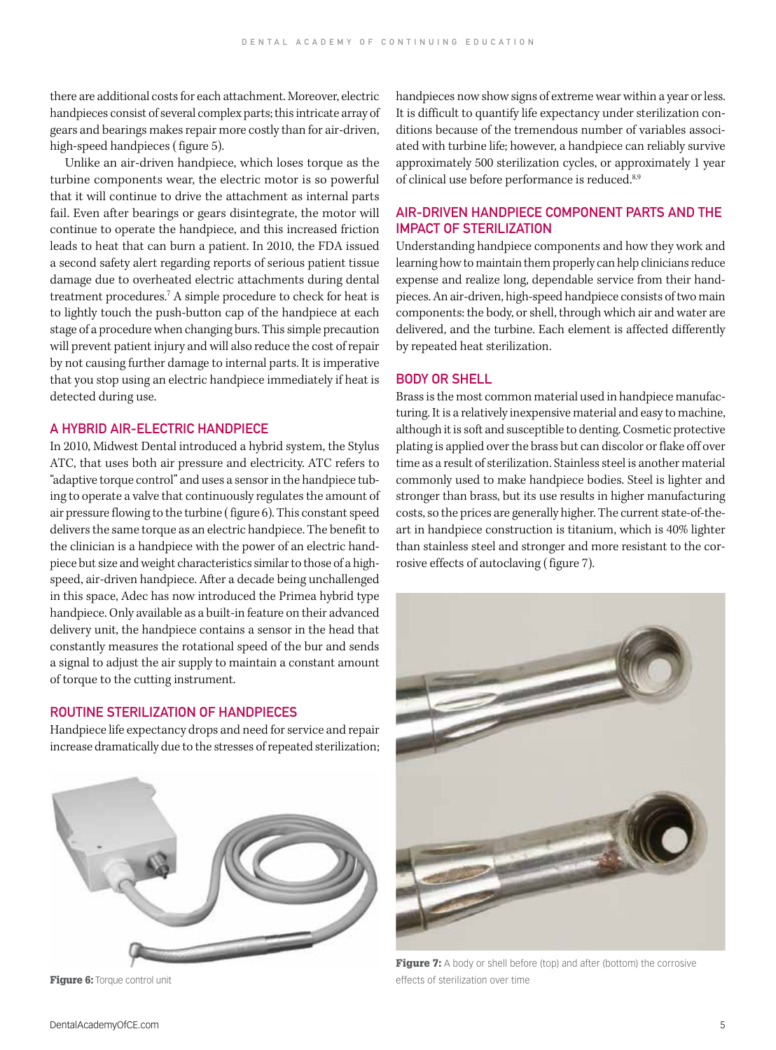there are additional costs for each attachment. Moreover, electric handpieces consist of several complex parts; this intricate array of gears and bearings makes repair more costly than for air-driven, high-speed handpieces ( figure 5).

Unlike an air-driven handpiece, which loses torque as the turbine components wear, the electric motor is so powerful that it will continue to drive the attachment as internal parts fail. Even after bearings or gears disintegrate, the motor will continue to operate the handpiece, and this increased friction leads to heat that can burn a patient. In 2010, the FDA issued a second safety alert regarding reports of serious patient tissue damage due to overheated electric attachments during dental treatment procedures.7 A simple procedure to check for heat is to lightly touch the push-button cap of the handpiece at each stage of a procedure when changing burs. This simple precaution will prevent patient injury and will also reduce the cost of repair by not causing further damage to internal parts. It is imperative that you stop using an electric handpiece immediately if heat is detected during use.

# A HYBRID AIR-ELECTRIC HANDPIECE

In 2010, Midwest Dental introduced a hybrid system, the Stylus ATC, that uses both air pressure and electricity. ATC refers to "adaptive torque control" and uses a sensor in the handpiece tubing to operate a valve that continuously regulates the amount of air pressure flowing to the turbine ( figure 6). This constant speed delivers the same torque as an electric handpiece. The benefit to the clinician is a handpiece with the power of an electric handpiece but size and weight characteristics similar to those of a highspeed, air-driven handpiece. After a decade being unchallenged in this space, Adec has now introduced the Primea hybrid type handpiece. Only available as a built-in feature on their advanced delivery unit, the handpiece contains a sensor in the head that constantly measures the rotational speed of the bur and sends a signal to adjust the air supply to maintain a constant amount of torque to the cutting instrument.

#### ROUTINE STERILIZATION OF HANDPIECES

Handpiece life expectancy drops and need for service and repair increase dramatically due to the stresses of repeated sterilization;



Figure 6: Torque control unit

handpieces now show signs of extreme wear within a year or less. It is difficult to quantify life expectancy under sterilization conditions because of the tremendous number of variables associated with turbine life; however, a handpiece can reliably survive approximately 500 sterilization cycles, or approximately 1 year of clinical use before performance is reduced.<sup>8,9</sup>

# AIR-DRIVEN HANDPIECE COMPONENT PARTS AND THE IMPACT OF STERILIZATION

Understanding handpiece components and how they work and learning how to maintain them properly can help clinicians reduce expense and realize long, dependable service from their handpieces. An air-driven, high-speed handpiece consists of two main components: the body, or shell, through which air and water are delivered, and the turbine. Each element is affected differently by repeated heat sterilization.

# BODY OR SHELL

Brass is the most common material used in handpiece manufacturing. It is a relatively inexpensive material and easy to machine, although it is soft and susceptible to denting. Cosmetic protective plating is applied over the brass but can discolor or flake off over time as a result of sterilization. Stainless steel is another material commonly used to make handpiece bodies. Steel is lighter and stronger than brass, but its use results in higher manufacturing costs, so the prices are generally higher. The current state-of-theart in handpiece construction is titanium, which is 40% lighter than stainless steel and stronger and more resistant to the corrosive effects of autoclaving ( figure 7).



Figure 7: A body or shell before (top) and after (bottom) the corrosive effects of sterilization over time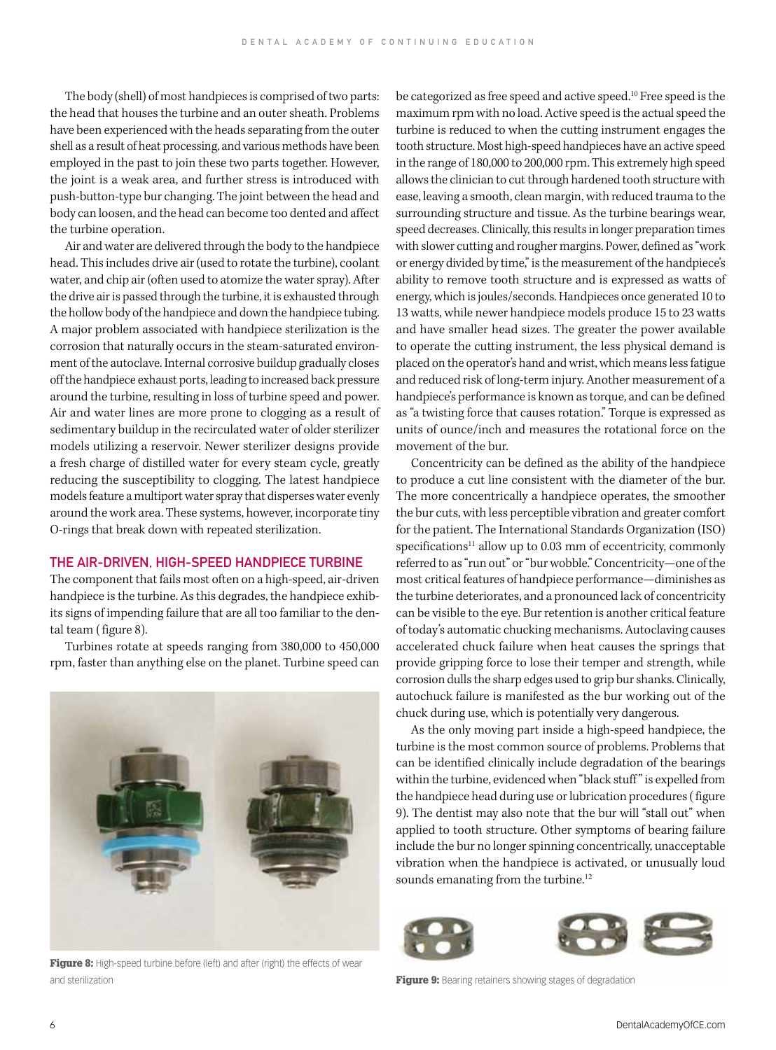The body (shell) of most handpieces is comprised of two parts: the head that houses the turbine and an outer sheath. Problems have been experienced with the heads separating from the outer shell as a result of heat processing, and various methods have been employed in the past to join these two parts together. However, the joint is a weak area, and further stress is introduced with push-button-type bur changing. The joint between the head and body can loosen, and the head can become too dented and affect the turbine operation.

Air and water are delivered through the body to the handpiece head. This includes drive air (used to rotate the turbine), coolant water, and chip air (often used to atomize the water spray). After the drive air is passed through the turbine, it is exhausted through the hollow body of the handpiece and down the handpiece tubing. A major problem associated with handpiece sterilization is the corrosion that naturally occurs in the steam-saturated environment of the autoclave. Internal corrosive buildup gradually closes off the handpiece exhaust ports, leading to increased back pressure around the turbine, resulting in loss of turbine speed and power. Air and water lines are more prone to clogging as a result of sedimentary buildup in the recirculated water of older sterilizer models utilizing a reservoir. Newer sterilizer designs provide a fresh charge of distilled water for every steam cycle, greatly reducing the susceptibility to clogging. The latest handpiece models feature a multiport water spray that disperses water evenly around the work area. These systems, however, incorporate tiny O-rings that break down with repeated sterilization.

# THE AIR-DRIVEN, HIGH-SPEED HANDPIECE TURBINE

The component that fails most often on a high-speed, air-driven handpiece is the turbine. As this degrades, the handpiece exhibits signs of impending failure that are all too familiar to the dental team ( figure 8).

Turbines rotate at speeds ranging from 380,000 to 450,000 rpm, faster than anything else on the planet. Turbine speed can



Figure 8: High-speed turbine before (left) and after (right) the effects of wear and sterilization **Figure 9:** Bearing retainers showing stages of degradation

be categorized as free speed and active speed.10 Free speed is the maximum rpm with no load. Active speed is the actual speed the turbine is reduced to when the cutting instrument engages the tooth structure. Most high-speed handpieces have an active speed in the range of 180,000 to 200,000 rpm. This extremely high speed allows the clinician to cut through hardened tooth structure with ease, leaving a smooth, clean margin, with reduced trauma to the surrounding structure and tissue. As the turbine bearings wear, speed decreases. Clinically, this results in longer preparation times with slower cutting and rougher margins. Power, defined as "work or energy divided by time," is the measurement of the handpiece's ability to remove tooth structure and is expressed as watts of energy, which is joules/seconds. Handpieces once generated 10 to 13 watts, while newer handpiece models produce 15 to 23 watts and have smaller head sizes. The greater the power available to operate the cutting instrument, the less physical demand is placed on the operator's hand and wrist, which means less fatigue and reduced risk of long-term injury. Another measurement of a handpiece's performance is known as torque, and can be defined as "a twisting force that causes rotation." Torque is expressed as units of ounce/inch and measures the rotational force on the movement of the bur.

Concentricity can be defined as the ability of the handpiece to produce a cut line consistent with the diameter of the bur. The more concentrically a handpiece operates, the smoother the bur cuts, with less perceptible vibration and greater comfort for the patient. The International Standards Organization (ISO) specifications<sup>11</sup> allow up to 0.03 mm of eccentricity, commonly referred to as "run out" or "bur wobble." Concentricity—one of the most critical features of handpiece performance—diminishes as the turbine deteriorates, and a pronounced lack of concentricity can be visible to the eye. Bur retention is another critical feature of today's automatic chucking mechanisms. Autoclaving causes accelerated chuck failure when heat causes the springs that provide gripping force to lose their temper and strength, while corrosion dulls the sharp edges used to grip bur shanks. Clinically, autochuck failure is manifested as the bur working out of the chuck during use, which is potentially very dangerous.

As the only moving part inside a high-speed handpiece, the turbine is the most common source of problems. Problems that can be identified clinically include degradation of the bearings within the turbine, evidenced when "black stuff " is expelled from the handpiece head during use or lubrication procedures ( figure 9). The dentist may also note that the bur will "stall out" when applied to tooth structure. Other symptoms of bearing failure include the bur no longer spinning concentrically, unacceptable vibration when the handpiece is activated, or unusually loud sounds emanating from the turbine.<sup>12</sup>



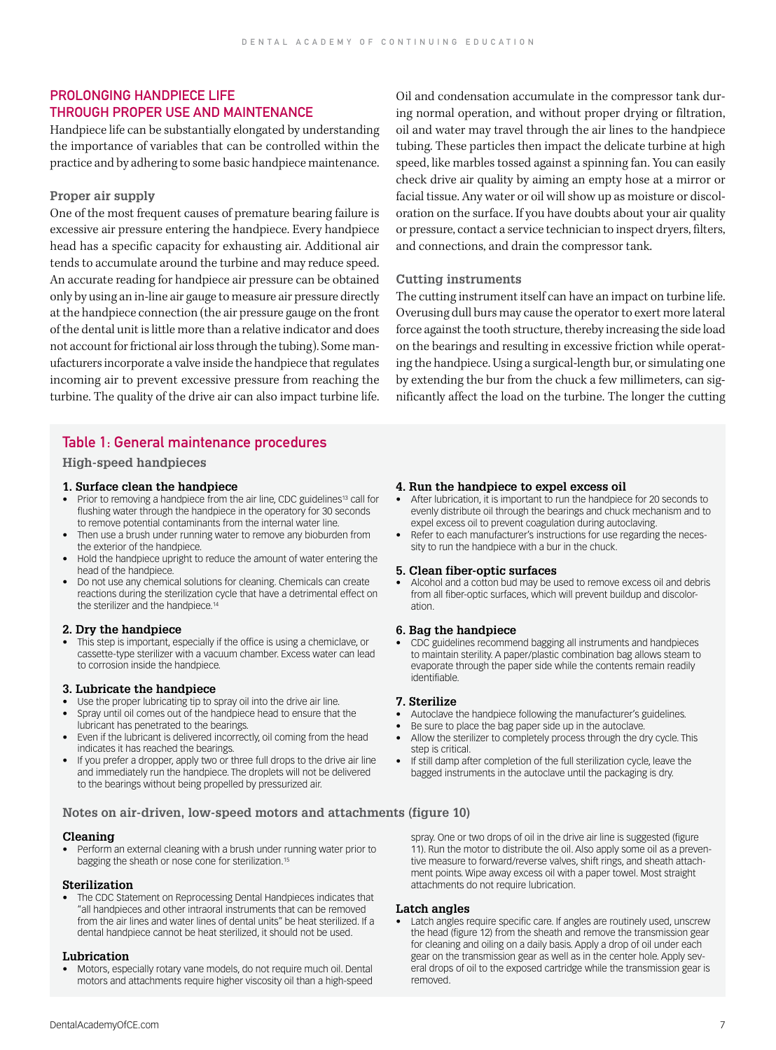# PROLONGING HANDPIFCE LIFE THROUGH PROPER USE AND MAINTENANCE

Handpiece life can be substantially elongated by understanding the importance of variables that can be controlled within the practice and by adhering to some basic handpiece maintenance.

#### **Proper air supply**

One of the most frequent causes of premature bearing failure is excessive air pressure entering the handpiece. Every handpiece head has a specific capacity for exhausting air. Additional air tends to accumulate around the turbine and may reduce speed. An accurate reading for handpiece air pressure can be obtained only by using an in-line air gauge to measure air pressure directly at the handpiece connection (the air pressure gauge on the front of the dental unit is little more than a relative indicator and does not account for frictional air loss through the tubing). Some manufacturers incorporate a valve inside the handpiece that regulates incoming air to prevent excessive pressure from reaching the turbine. The quality of the drive air can also impact turbine life.

# Table 1: General maintenance procedures

**High-speed handpieces**

#### **1. Surface clean the handpiece**

- Prior to removing a handpiece from the air line, CDC guidelines<sup>13</sup> call for flushing water through the handpiece in the operatory for 30 seconds to remove potential contaminants from the internal water line.
- Then use a brush under running water to remove any bioburden from the exterior of the handpiece.
- Hold the handpiece upright to reduce the amount of water entering the head of the handpiece.
- Do not use any chemical solutions for cleaning. Chemicals can create reactions during the sterilization cycle that have a detrimental effect on the sterilizer and the handpiece.<sup>14</sup>

#### **2. Dry the handpiece**

• This step is important, especially if the office is using a chemiclave, or cassette-type sterilizer with a vacuum chamber. Excess water can lead to corrosion inside the handpiece.

#### **3. Lubricate the handpiece**

- Use the proper lubricating tip to spray oil into the drive air line.
- Spray until oil comes out of the handpiece head to ensure that the lubricant has penetrated to the bearings.
- Even if the lubricant is delivered incorrectly, oil coming from the head indicates it has reached the bearings.
- If you prefer a dropper, apply two or three full drops to the drive air line and immediately run the handpiece. The droplets will not be delivered to the bearings without being propelled by pressurized air.

#### **Notes on air-driven, low-speed motors and attachments (figure 10)**

### **Cleaning**

• Perform an external cleaning with a brush under running water prior to bagging the sheath or nose cone for sterilization.<sup>15</sup>

### **Sterilization**

• The CDC Statement on Reprocessing Dental Handpieces indicates that "all handpieces and other intraoral instruments that can be removed from the air lines and water lines of dental units" be heat sterilized. If a dental handpiece cannot be heat sterilized, it should not be used.

### **Lubrication**

• Motors, especially rotary vane models, do not require much oil. Dental motors and attachments require higher viscosity oil than a high-speed Oil and condensation accumulate in the compressor tank during normal operation, and without proper drying or filtration, oil and water may travel through the air lines to the handpiece tubing. These particles then impact the delicate turbine at high speed, like marbles tossed against a spinning fan. You can easily check drive air quality by aiming an empty hose at a mirror or facial tissue. Any water or oil will show up as moisture or discoloration on the surface. If you have doubts about your air quality or pressure, contact a service technician to inspect dryers, filters, and connections, and drain the compressor tank.

#### **Cutting instruments**

The cutting instrument itself can have an impact on turbine life. Overusing dull burs may cause the operator to exert more lateral force against the tooth structure, thereby increasing the side load on the bearings and resulting in excessive friction while operating the handpiece. Using a surgical-length bur, or simulating one by extending the bur from the chuck a few millimeters, can significantly affect the load on the turbine. The longer the cutting

#### **4. Run the handpiece to expel excess oil**

- After lubrication, it is important to run the handpiece for 20 seconds to evenly distribute oil through the bearings and chuck mechanism and to expel excess oil to prevent coagulation during autoclaving.
- Refer to each manufacturer's instructions for use regarding the necessity to run the handpiece with a bur in the chuck.

#### **5. Clean fiber-optic surfaces**

• Alcohol and a cotton bud may be used to remove excess oil and debris from all fiber-optic surfaces, which will prevent buildup and discoloration.

#### **6. Bag the handpiece**

• CDC guidelines recommend bagging all instruments and handpieces to maintain sterility. A paper/plastic combination bag allows steam to evaporate through the paper side while the contents remain readily identifiable.

#### **7. Sterilize**

- Autoclave the handpiece following the manufacturer's guidelines.
- Be sure to place the bag paper side up in the autoclave.
- Allow the sterilizer to completely process through the dry cycle. This step is critical.
- If still damp after completion of the full sterilization cycle, leave the bagged instruments in the autoclave until the packaging is dry.

spray. One or two drops of oil in the drive air line is suggested (figure 11). Run the motor to distribute the oil. Also apply some oil as a preventive measure to forward/reverse valves, shift rings, and sheath attachment points. Wipe away excess oil with a paper towel. Most straight attachments do not require lubrication.

#### **Latch angles**

• Latch angles require specific care. If angles are routinely used, unscrew the head (figure 12) from the sheath and remove the transmission gear for cleaning and oiling on a daily basis. Apply a drop of oil under each gear on the transmission gear as well as in the center hole. Apply several drops of oil to the exposed cartridge while the transmission gear is removed.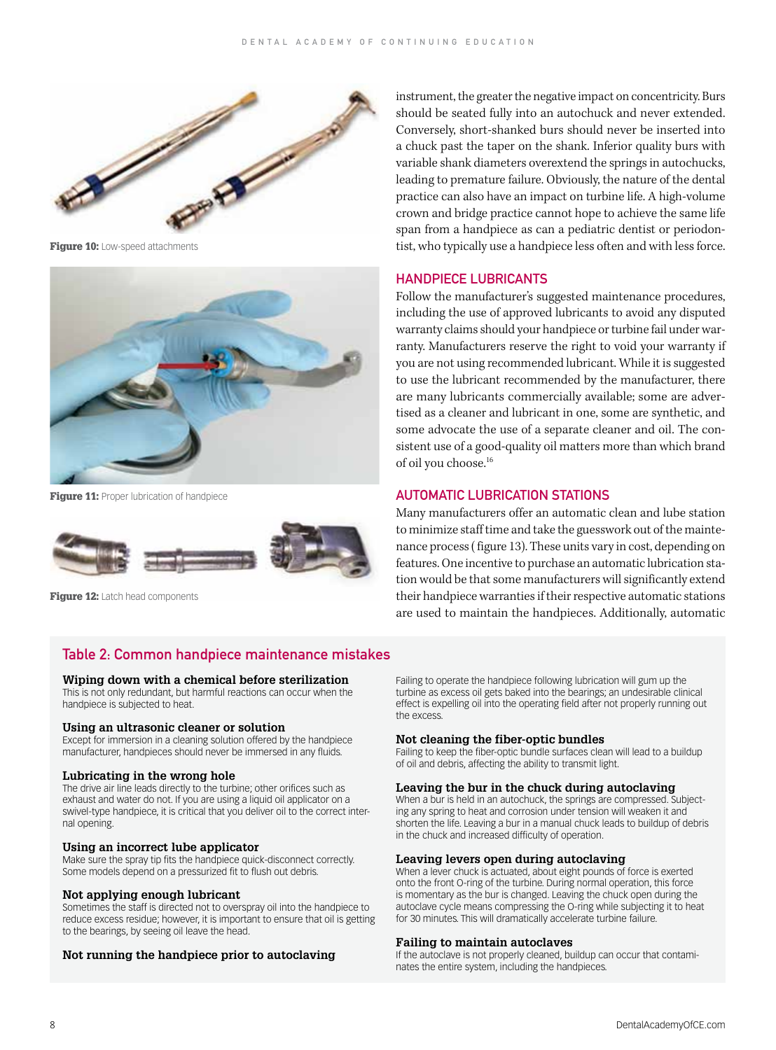

Figure 10: Low-speed attachments



Figure 11: Proper lubrication of handpiece



Figure 12: Latch head components

instrument, the greater the negative impact on concentricity. Burs should be seated fully into an autochuck and never extended. Conversely, short-shanked burs should never be inserted into a chuck past the taper on the shank. Inferior quality burs with variable shank diameters overextend the springs in autochucks, leading to premature failure. Obviously, the nature of the dental practice can also have an impact on turbine life. A high-volume crown and bridge practice cannot hope to achieve the same life span from a handpiece as can a pediatric dentist or periodontist, who typically use a handpiece less often and with less force.

#### HANDPIECE LUBRICANTS

Follow the manufacturer's suggested maintenance procedures, including the use of approved lubricants to avoid any disputed warranty claims should your handpiece or turbine fail under warranty. Manufacturers reserve the right to void your warranty if you are not using recommended lubricant. While it is suggested to use the lubricant recommended by the manufacturer, there are many lubricants commercially available; some are advertised as a cleaner and lubricant in one, some are synthetic, and some advocate the use of a separate cleaner and oil. The consistent use of a good-quality oil matters more than which brand of oil you choose.16

# AUTOMATIC LUBRICATION STATIONS

Many manufacturers offer an automatic clean and lube station to minimize staff time and take the guesswork out of the maintenance process ( figure 13). These units vary in cost, depending on features. One incentive to purchase an automatic lubrication station would be that some manufacturers will significantly extend their handpiece warranties if their respective automatic stations are used to maintain the handpieces. Additionally, automatic

# Table 2: Common handpiece maintenance mistakes

#### **Wiping down with a chemical before sterilization**

This is not only redundant, but harmful reactions can occur when the handpiece is subjected to heat.

#### **Using an ultrasonic cleaner or solution**

Except for immersion in a cleaning solution offered by the handpiece manufacturer, handpieces should never be immersed in any fluids.

#### **Lubricating in the wrong hole**

The drive air line leads directly to the turbine; other orifices such as exhaust and water do not. If you are using a liquid oil applicator on a swivel-type handpiece, it is critical that you deliver oil to the correct internal opening.

#### **Using an incorrect lube applicator**

Make sure the spray tip fits the handpiece quick-disconnect correctly. Some models depend on a pressurized fit to flush out debris.

#### **Not applying enough lubricant**

Sometimes the staff is directed not to overspray oil into the handpiece to reduce excess residue; however, it is important to ensure that oil is getting to the bearings, by seeing oil leave the head.

#### **Not running the handpiece prior to autoclaving**

Failing to operate the handpiece following lubrication will gum up the turbine as excess oil gets baked into the bearings; an undesirable clinical effect is expelling oil into the operating field after not properly running out the excess.

#### **Not cleaning the fiber-optic bundles**

Failing to keep the fiber-optic bundle surfaces clean will lead to a buildup of oil and debris, affecting the ability to transmit light.

#### **Leaving the bur in the chuck during autoclaving**

When a bur is held in an autochuck, the springs are compressed. Subjecting any spring to heat and corrosion under tension will weaken it and shorten the life. Leaving a bur in a manual chuck leads to buildup of debris in the chuck and increased difficulty of operation.

# **Leaving levers open during autoclaving**

When a lever chuck is actuated, about eight pounds of force is exerted onto the front O-ring of the turbine. During normal operation, this force is momentary as the bur is changed. Leaving the chuck open during the autoclave cycle means compressing the O-ring while subjecting it to heat for 30 minutes. This will dramatically accelerate turbine failure.

#### **Failing to maintain autoclaves**

If the autoclave is not properly cleaned, buildup can occur that contaminates the entire system, including the handpieces.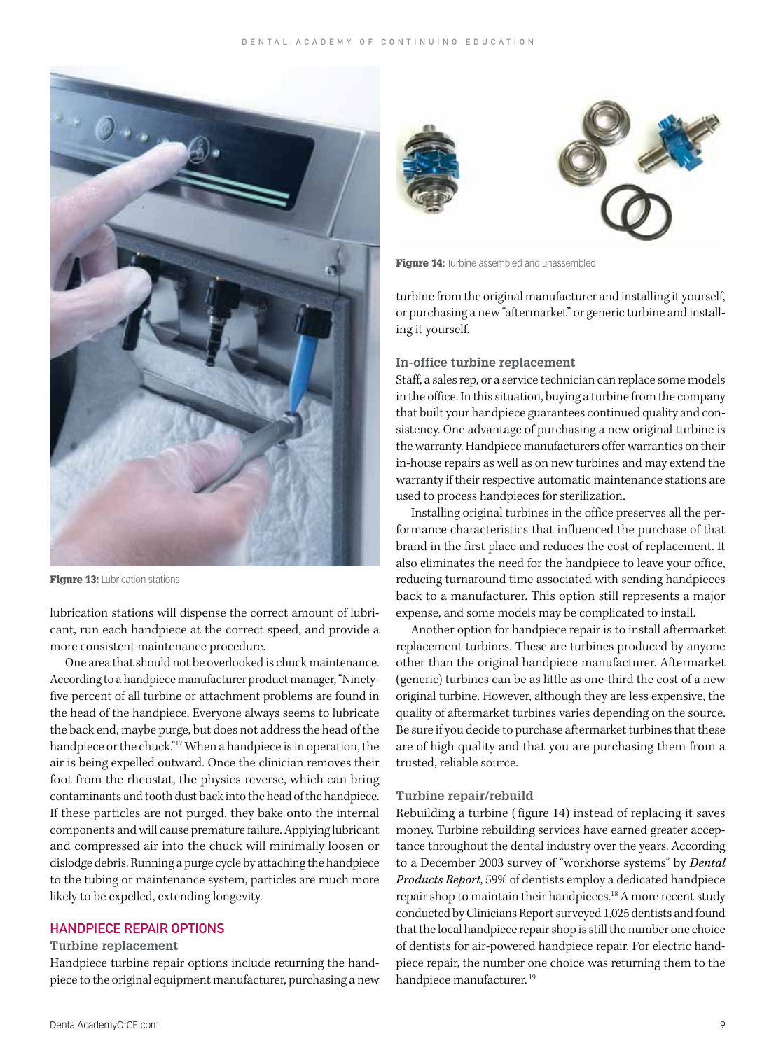

Figure 13: Lubrication stations

lubrication stations will dispense the correct amount of lubricant, run each handpiece at the correct speed, and provide a more consistent maintenance procedure.

One area that should not be overlooked is chuck maintenance. According to a handpiece manufacturer product manager, "Ninetyfive percent of all turbine or attachment problems are found in the head of the handpiece. Everyone always seems to lubricate the back end, maybe purge, but does not address the head of the handpiece or the chuck."17 When a handpiece is in operation, the air is being expelled outward. Once the clinician removes their foot from the rheostat, the physics reverse, which can bring contaminants and tooth dust back into the head of the handpiece. If these particles are not purged, they bake onto the internal components and will cause premature failure. Applying lubricant and compressed air into the chuck will minimally loosen or dislodge debris. Running a purge cycle by attaching the handpiece to the tubing or maintenance system, particles are much more likely to be expelled, extending longevity.

# HANDPIECE REPAIR OPTIONS

#### **Turbine replacement**

Handpiece turbine repair options include returning the handpiece to the original equipment manufacturer, purchasing a new



Figure 14: Turbine assembled and unassembled

turbine from the original manufacturer and installing it yourself, or purchasing a new "aftermarket" or generic turbine and installing it yourself.

# **In-office turbine replacement**

Staff, a sales rep, or a service technician can replace some models in the office. In this situation, buying a turbine from the company that built your handpiece guarantees continued quality and consistency. One advantage of purchasing a new original turbine is the warranty. Handpiece manufacturers offer warranties on their in-house repairs as well as on new turbines and may extend the warranty if their respective automatic maintenance stations are used to process handpieces for sterilization.

Installing original turbines in the office preserves all the performance characteristics that influenced the purchase of that brand in the first place and reduces the cost of replacement. It also eliminates the need for the handpiece to leave your office, reducing turnaround time associated with sending handpieces back to a manufacturer. This option still represents a major expense, and some models may be complicated to install.

Another option for handpiece repair is to install aftermarket replacement turbines. These are turbines produced by anyone other than the original handpiece manufacturer. Aftermarket (generic) turbines can be as little as one-third the cost of a new original turbine. However, although they are less expensive, the quality of aftermarket turbines varies depending on the source. Be sure if you decide to purchase aftermarket turbines that these are of high quality and that you are purchasing them from a trusted, reliable source.

#### **Turbine repair/rebuild**

Rebuilding a turbine ( figure 14) instead of replacing it saves money. Turbine rebuilding services have earned greater acceptance throughout the dental industry over the years. According to a December 2003 survey of "workhorse systems" by *Dental Products Report*, 59% of dentists employ a dedicated handpiece repair shop to maintain their handpieces.<sup>18</sup> A more recent study conducted by Clinicians Report surveyed 1,025 dentists and found that the local handpiece repair shop is still the number one choice of dentists for air-powered handpiece repair. For electric handpiece repair, the number one choice was returning them to the handpiece manufacturer.<sup>19</sup>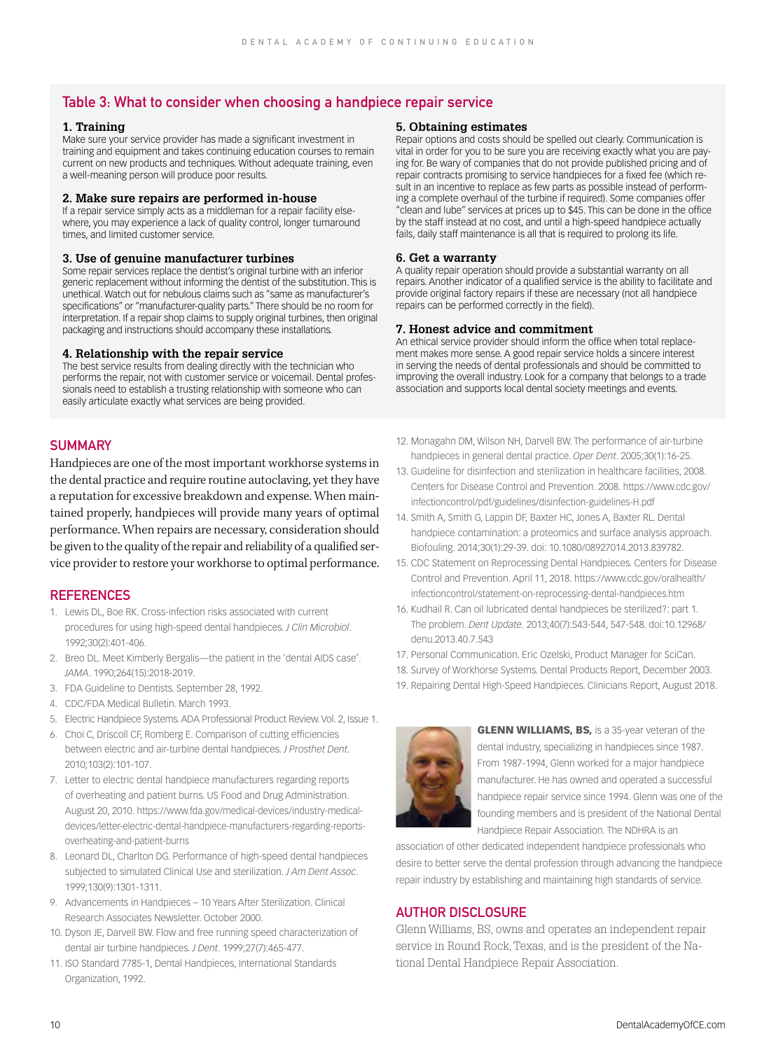# Table 3: What to consider when choosing a handpiece repair service

#### **1. Training**

Make sure your service provider has made a significant investment in training and equipment and takes continuing education courses to remain current on new products and techniques. Without adequate training, even a well-meaning person will produce poor results.

#### **2. Make sure repairs are performed in-house**

If a repair service simply acts as a middleman for a repair facility elsewhere, you may experience a lack of quality control, longer turnaround times, and limited customer service.

#### **3. Use of genuine manufacturer turbines**

Some repair services replace the dentist's original turbine with an inferior generic replacement without informing the dentist of the substitution. This is unethical. Watch out for nebulous claims such as "same as manufacturer's specifications" or "manufacturer-quality parts." There should be no room for interpretation. If a repair shop claims to supply original turbines, then original packaging and instructions should accompany these installations.

#### **4. Relationship with the repair service**

The best service results from dealing directly with the technician who performs the repair, not with customer service or voicemail. Dental professionals need to establish a trusting relationship with someone who can easily articulate exactly what services are being provided.

# **SUMMARY**

Handpieces are one of the most important workhorse systems in the dental practice and require routine autoclaving, yet they have a reputation for excessive breakdown and expense. When maintained properly, handpieces will provide many years of optimal performance. When repairs are necessary, consideration should be given to the quality of the repair and reliability of a qualified service provider to restore your workhorse to optimal performance.

#### **REFERENCES**

- 1. Lewis DL, Boe RK. Cross-infection risks associated with current procedures for using high-speed dental handpieces. *J Clin Microbiol*. 1992;30(2):401-406.
- 2. Breo DL. Meet Kimberly Bergalis—the patient in the 'dental AIDS case'. *JAMA*. 1990;264(15):2018-2019.
- 3. FDA Guideline to Dentists. September 28, 1992.
- 4. CDC/FDA Medical Bulletin. March 1993.
- 5. Electric Handpiece Systems. ADA Professional Product Review. Vol. 2, Issue 1.
- 6. Choi C, Driscoll CF, Romberg E. Comparison of cutting efficiencies between electric and air-turbine dental handpieces. *J Prosthet Dent*. 2010;103(2):101-107.
- 7. Letter to electric dental handpiece manufacturers regarding reports of overheating and patient burns. US Food and Drug Administration. August 20, 2010. https://www.fda.gov/medical-devices/industry-medicaldevices/letter-electric-dental-handpiece-manufacturers-regarding-reportsoverheating-and-patient-burns
- 8. Leonard DL, Charlton DG. Performance of high-speed dental handpieces subjected to simulated Clinical Use and sterilization. *J Am Dent Assoc*. 1999;130(9):1301-1311.
- 9. Advancements in Handpieces 10 Years After Sterilization. Clinical Research Associates Newsletter. October 2000.
- 10. Dyson JE, Darvell BW. Flow and free running speed characterization of dental air turbine handpieces. *J Dent*. 1999;27(7):465-477.
- 11. ISO Standard 7785-1, Dental Handpieces, International Standards Organization, 1992.

#### **5. Obtaining estimates**

Repair options and costs should be spelled out clearly. Communication is vital in order for you to be sure you are receiving exactly what you are paying for. Be wary of companies that do not provide published pricing and of repair contracts promising to service handpieces for a fixed fee (which result in an incentive to replace as few parts as possible instead of performing a complete overhaul of the turbine if required). Some companies offer "clean and lube" services at prices up to \$45. This can be done in the office by the staff instead at no cost, and until a high-speed handpiece actually fails, daily staff maintenance is all that is required to prolong its life.

#### **6. Get a warranty**

A quality repair operation should provide a substantial warranty on all repairs. Another indicator of a qualified service is the ability to facilitate and provide original factory repairs if these are necessary (not all handpiece repairs can be performed correctly in the field).

#### **7. Honest advice and commitment**

An ethical service provider should inform the office when total replacement makes more sense. A good repair service holds a sincere interest in serving the needs of dental professionals and should be committed to improving the overall industry. Look for a company that belongs to a trade association and supports local dental society meetings and events.

- 12. Monagahn DM, Wilson NH, Darvell BW. The performance of air-turbine handpieces in general dental practice. *Oper Dent*. 2005;30(1):16-25.
- 13. Guideline for disinfection and sterilization in healthcare facilities, 2008. Centers for Disease Control and Prevention. 2008. https://www.cdc.gov/ infectioncontrol/pdf/guidelines/disinfection-guidelines-H.pdf
- 14. Smith A, Smith G, Lappin DF, Baxter HC, Jones A, Baxter RL. Dental handpiece contamination: a proteomics and surface analysis approach. Biofouling. 2014;30(1):29-39. doi: 10.1080/08927014.2013.839782.
- 15. CDC Statement on Reprocessing Dental Handpieces. Centers for Disease Control and Prevention. April 11, 2018. https://www.cdc.gov/oralhealth/ infectioncontrol/statement-on-reprocessing-dental-handpieces.htm
- 16. Kudhail R. Can oil lubricated dental handpieces be sterilized?: part 1. The problem. *Dent Update.* 2013;40(7):543-544, 547-548. doi:10.12968/ denu.2013.40.7.543
- 17. Personal Communication. Eric Ozelski, Product Manager for SciCan.
- 18. Survey of Workhorse Systems. Dental Products Report, December 2003.
- 19. Repairing Dental High-Speed Handpieces. Clinicians Report, August 2018.



**GLENN WILLIAMS, BS, is a 35-year veteran of the** dental industry, specializing in handpieces since 1987. From 1987-1994, Glenn worked for a major handpiece manufacturer. He has owned and operated a successful handpiece repair service since 1994. Glenn was one of the founding members and is president of the National Dental Handpiece Repair Association. The NDHRA is an

association of other dedicated independent handpiece professionals who desire to better serve the dental profession through advancing the handpiece repair industry by establishing and maintaining high standards of service.

# AUTHOR DISCLOSURE

Glenn Williams, BS, owns and operates an independent repair service in Round Rock, Texas, and is the president of the National Dental Handpiece Repair Association.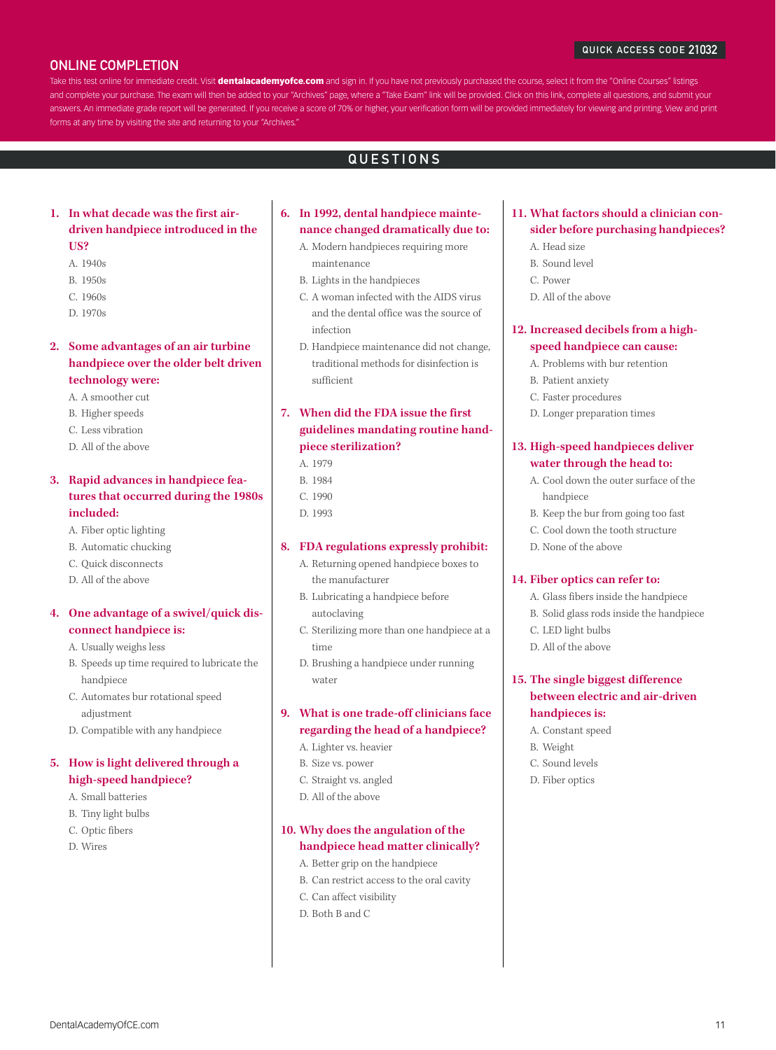#### QUICK ACCESS CODE 21032

# ONLINE COMPLETION

Take this test online for immediate credit. Visit dentalacademyofce.com and sign in. If you have not previously purchased the course, select it from the "Online Courses" listings and complete your purchase. The exam will then be added to your "Archives" page, where a "Take Exam" link will be provided. Click on this link, complete all questions, and submit your answers. An immediate grade report will be generated. If you receive a score of 70% or higher, your verification form will be provided immediately for viewing and printing. View and print forms at any time by visiting the site and returning to your "Archives."

# QUESTIONS

# **1. In what decade was the first airdriven handpiece introduced in the US?**

- A. 1940s
- B. 1950s
- C. 1960s
- D. 1970s

# **2. Some advantages of an air turbine handpiece over the older belt driven technology were:**

- A. A smoother cut
- B. Higher speeds
- C. Less vibration
- D. All of the above

# **3. Rapid advances in handpiece features that occurred during the 1980s included:**

- A. Fiber optic lighting
- B. Automatic chucking
- C. Quick disconnects
- D. All of the above

# **4. One advantage of a swivel/quick disconnect handpiece is:**

- A. Usually weighs less
- B. Speeds up time required to lubricate the handpiece
- C. Automates bur rotational speed adjustment
- D. Compatible with any handpiece

# **5. How is light delivered through a high-speed handpiece?**

- A. Small batteries
- B. Tiny light bulbs
- C. Optic fibers
- D. Wires

# **6. In 1992, dental handpiece maintenance changed dramatically due to:**

- A. Modern handpieces requiring more maintenance
- B. Lights in the handpieces
- C. A woman infected with the AIDS virus and the dental office was the source of infection
- D. Handpiece maintenance did not change, traditional methods for disinfection is sufficient

# **7. When did the FDA issue the first guidelines mandating routine handpiece sterilization?**

- A. 1979
- B. 1984
- C. 1990
- D. 1993

### **8. FDA regulations expressly prohibit:**

- A. Returning opened handpiece boxes to the manufacturer
- B. Lubricating a handpiece before autoclaving
- C. Sterilizing more than one handpiece at a time
- D. Brushing a handpiece under running water

# **9. What is one trade-off clinicians face regarding the head of a handpiece?**

- A. Lighter vs. heavier
- B. Size vs. power
- C. Straight vs. angled
- D. All of the above

# **10. Why does the angulation of the handpiece head matter clinically?**

- A. Better grip on the handpiece
- B. Can restrict access to the oral cavity
- C. Can affect visibility
- D. Both B and C

# **11. What factors should a clinician consider before purchasing handpieces?**

- A. Head size
- B. Sound level
- C. Power
- D. All of the above

# **12. Increased decibels from a highspeed handpiece can cause:**

- A. Problems with bur retention
- B. Patient anxiety
- C. Faster procedures
- D. Longer preparation times

# **13. High-speed handpieces deliver water through the head to:**

- A. Cool down the outer surface of the handpiece
- B. Keep the bur from going too fast
- C. Cool down the tooth structure
- D. None of the above

#### **14. Fiber optics can refer to:**

- A. Glass fibers inside the handpiece
- B. Solid glass rods inside the handpiece
- C. LED light bulbs
- D. All of the above

# **15. The single biggest difference between electric and air-driven handpieces is:**

- A. Constant speed
- B. Weight
- C. Sound levels
- D. Fiber optics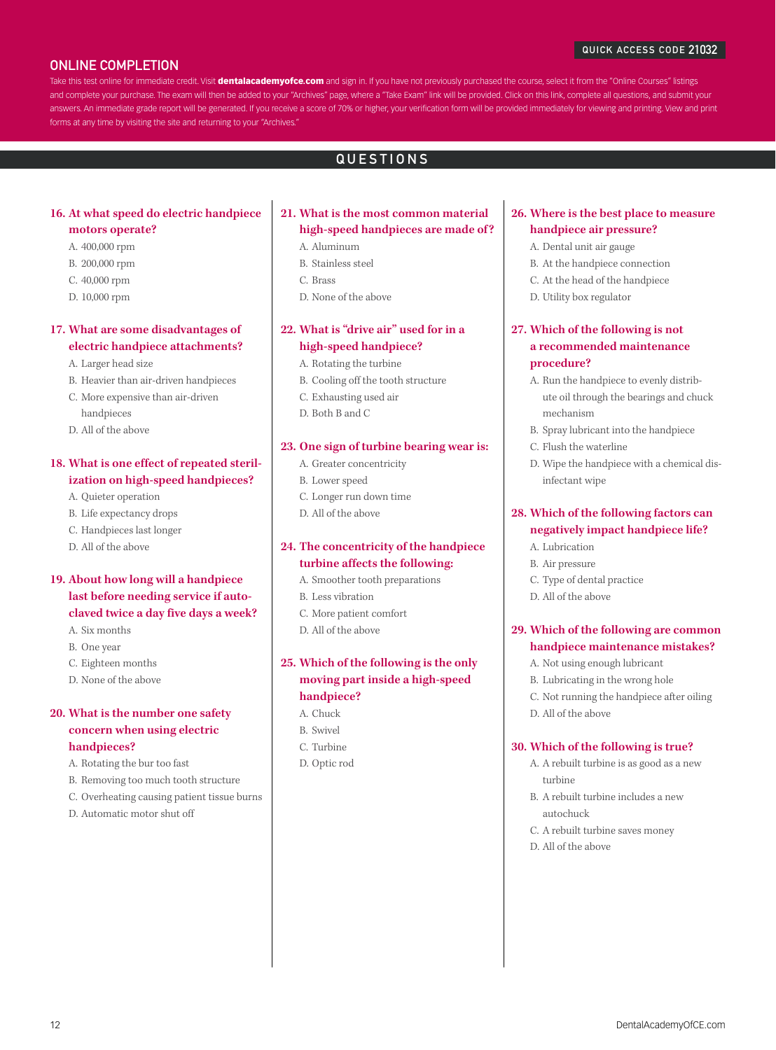#### QUICK ACCESS CODE 21032

# ONLINE COMPLETION

Take this test online for immediate credit. Visit dentalacademyofce.com and sign in. If you have not previously purchased the course, select it from the "Online Courses" listings and complete your purchase. The exam will then be added to your "Archives" page, where a "Take Exam" link will be provided. Click on this link, complete all questions, and submit your answers. An immediate grade report will be generated. If you receive a score of 70% or higher, your verification form will be provided immediately for viewing and printing. View and print forms at any time by visiting the site and returning to your "Archives."

# QUESTIONS

# **16. At what speed do electric handpiece motors operate?**

- A. 400,000 rpm
- B. 200,000 rpm
- 
- C. 40,000 rpm
- D. 10,000 rpm

# **17. What are some disadvantages of electric handpiece attachments?**

- A. Larger head size
- B. Heavier than air-driven handpieces
- C. More expensive than air-driven
- handpieces
- D. All of the above

# **18. What is one effect of repeated sterilization on high-speed handpieces?**

- A. Quieter operation
- B. Life expectancy drops
- C. Handpieces last longer
- D. All of the above

# **19. About how long will a handpiece last before needing service if autoclaved twice a day five days a week?**

- A. Six months
- B. One year
- C. Eighteen months
- D. None of the above

# **20. What is the number one safety concern when using electric handpieces?**

- A. Rotating the bur too fast
- B. Removing too much tooth structure
- C. Overheating causing patient tissue burns
- D. Automatic motor shut off

# **21. What is the most common material high-speed handpieces are made of ?**

- A. Aluminum
- B. Stainless steel
- C. Brass
- D. None of the above

# **22. What is "drive air" used for in a high-speed handpiece?**

#### A. Rotating the turbine

- B. Cooling off the tooth structure
- C. Exhausting used air
- D. Both B and C

#### **23. One sign of turbine bearing wear is:**

- A. Greater concentricity
- B. Lower speed
- C. Longer run down time
- D. All of the above

# **24. The concentricity of the handpiece turbine affects the following:**

- A. Smoother tooth preparations
- B. Less vibration
- C. More patient comfort
- D. All of the above

# **25. Which of the following is the only moving part inside a high-speed handpiece?**

- A. Chuck
- B. Swivel
- C. Turbine
- D. Optic rod

# **26. Where is the best place to measure handpiece air pressure?**

- A. Dental unit air gauge
- B. At the handpiece connection
- C. At the head of the handpiece
- D. Utility box regulator

# **27. Which of the following is not a recommended maintenance procedure?**

- A. Run the handpiece to evenly distribute oil through the bearings and chuck mechanism
- B. Spray lubricant into the handpiece
- C. Flush the waterline
- D. Wipe the handpiece with a chemical disinfectant wipe

# **28. Which of the following factors can negatively impact handpiece life?**

- A. Lubrication
- B. Air pressure
- C. Type of dental practice
- D. All of the above

# **29. Which of the following are common handpiece maintenance mistakes?**

- A. Not using enough lubricant
- B. Lubricating in the wrong hole
- C. Not running the handpiece after oiling
- D. All of the above

#### **30. Which of the following is true?**

- A. A rebuilt turbine is as good as a new turbine
- B. A rebuilt turbine includes a new autochuck
- C. A rebuilt turbine saves money
- D. All of the above